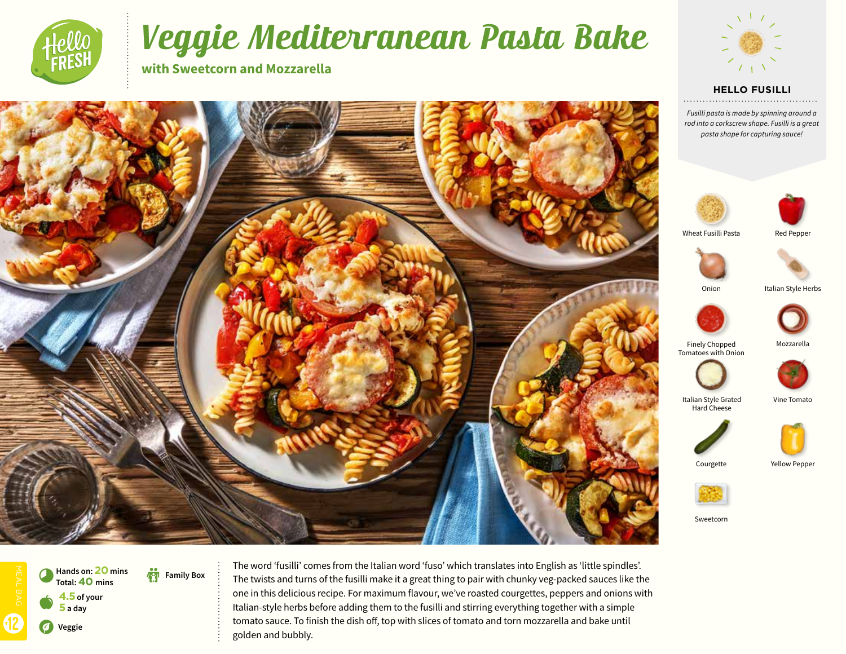

12 V **Veggie**

**4.5 of your 5 a day**

**Total:40 mins**

b **Family Box Hands on: 20 mins** 

 $\bullet$ 

0

# Veggie Mediterranean Pasta Bake

The twists and turns of the fusilli make it a great thing to pair with chunky veg-packed sauces like the one in this delicious recipe. For maximum flavour, we've roasted courgettes, peppers and onions with Italian-style herbs before adding them to the fusilli and stirring everything together with a simple tomato sauce. To finish the dish off, top with slices of tomato and torn mozzarella and bake until

**with Sweetcorn and Mozzarella**



#### **HELLO FUSILLI**

*Fusilli pasta is made by spinning around a rod into a corkscrew shape. Fusilli is a great pasta shape for capturing sauce!*





Wheat Fusilli Pasta Red Pepper



Onion Italian Style Herbs



Finely Chopped Mozzarella



Italian Style Grated Vine Tomato Hard Cheese



Courgette Yellow Pepper



Sweetcorn



golden and bubbly.